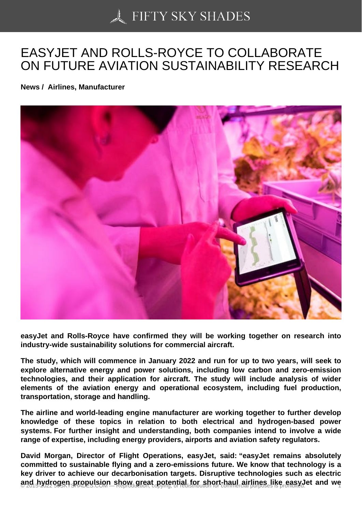## [EASYJET AND ROLLS](https://50skyshades.com)-ROYCE TO COLLABORATE ON FUTURE AVIATION SUSTAINABILITY RESEARCH

News / Airlines, Manufacturer

easyJet and Rolls-Royce have confirmed they will be working together on research into industry-wide sustainability solutions for commercial aircraft.

The study, which will commence in January 2022 and run for up to two years, will seek to explore alternative energy and power solutions, including low carbon and zero-emission technologies, and their application for aircraft. The study will include analysis of wider elements of the aviation energy and operational ecosystem, including fuel production, transportation, storage and handling.

The airline and world-leading engine manufacturer are working together to further develop knowledge of these topics in relation to both electrical and hydrogen-based power systems. For further insight and understanding, both companies intend to involve a wide range of expertise, including energy providers, airports and aviation safety regulators.

David Morgan, Director of Flight Operations, easyJet, said: "easyJet remains absolutely committed to sustainable flying and a zero-emissions future. We know that technology is a key driver to achieve our decarbonisation targets. Disruptive technologies such as electric and hydrogen propulsion show great potential for short-haul airlines like easyJet and we